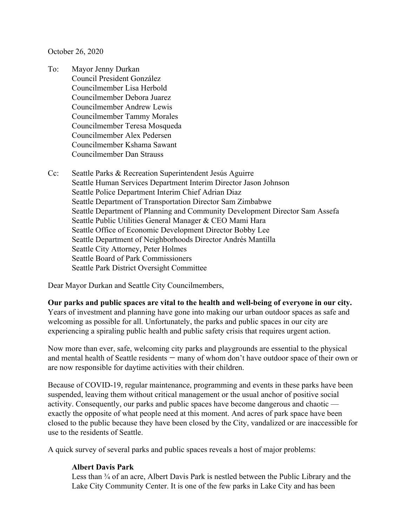October 26, 2020

- To: Mayor Jenny Durkan Council President González Councilmember Lisa Herbold Councilmember Debora Juarez Councilmember Andrew Lewis Councilmember Tammy Morales Councilmember Teresa Mosqueda Councilmember Alex Pedersen Councilmember Kshama Sawant Councilmember Dan Strauss
- Cc: Seattle Parks & Recreation Superintendent Jesús Aguirre Seattle Human Services Department Interim Director Jason Johnson Seattle Police Department Interim Chief Adrian Diaz Seattle Department of Transportation Director Sam Zimbabwe Seattle Department of Planning and Community Development Director Sam Assefa Seattle Public Utilities General Manager & CEO Mami Hara Seattle Office of Economic Development Director Bobby Lee Seattle Department of Neighborhoods Director Andrés Mantilla Seattle City Attorney, Peter Holmes Seattle Board of Park Commissioners Seattle Park District Oversight Committee

Dear Mayor Durkan and Seattle City Councilmembers,

**Our parks and public spaces are vital to the health and well-being of everyone in our city.** Years of investment and planning have gone into making our urban outdoor spaces as safe and

welcoming as possible for all. Unfortunately, the parks and public spaces in our city are experiencing a spiraling public health and public safety crisis that requires urgent action.

Now more than ever, safe, welcoming city parks and playgrounds are essential to the physical and mental health of Seattle residents — many of whom don't have outdoor space of their own or are now responsible for daytime activities with their children.

Because of COVID-19, regular maintenance, programming and events in these parks have been suspended, leaving them without critical management or the usual anchor of positive social activity. Consequently, our parks and public spaces have become dangerous and chaotic exactly the opposite of what people need at this moment. And acres of park space have been closed to the public because they have been closed by the City, vandalized or are inaccessible for use to the residents of Seattle.

A quick survey of several parks and public spaces reveals a host of major problems:

#### **Albert Davis Park**

Less than  $\frac{3}{4}$  of an acre, Albert Davis Park is nestled between the Public Library and the Lake City Community Center. It is one of the few parks in Lake City and has been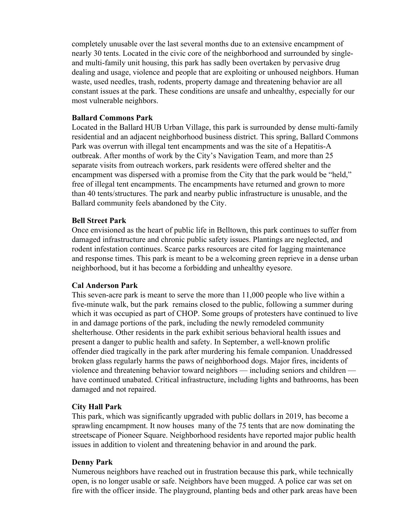completely unusable over the last several months due to an extensive encampment of nearly 30 tents. Located in the civic core of the neighborhood and surrounded by singleand multi-family unit housing, this park has sadly been overtaken by pervasive drug dealing and usage, violence and people that are exploiting or unhoused neighbors. Human waste, used needles, trash, rodents, property damage and threatening behavior are all constant issues at the park. These conditions are unsafe and unhealthy, especially for our most vulnerable neighbors.

#### **Ballard Commons Park**

Located in the Ballard HUB Urban Village, this park is surrounded by dense multi-family residential and an adjacent neighborhood business district. This spring, Ballard Commons Park was overrun with illegal tent encampments and was the site of a Hepatitis-A outbreak. After months of work by the City's Navigation Team, and more than 25 separate visits from outreach workers, park residents were offered shelter and the encampment was dispersed with a promise from the City that the park would be "held," free of illegal tent encampments. The encampments have returned and grown to more than 40 tents/structures. The park and nearby public infrastructure is unusable, and the Ballard community feels abandoned by the City.

#### **Bell Street Park**

Once envisioned as the heart of public life in Belltown, this park continues to suffer from damaged infrastructure and chronic public safety issues. Plantings are neglected, and rodent infestation continues. Scarce parks resources are cited for lagging maintenance and response times. This park is meant to be a welcoming green reprieve in a dense urban neighborhood, but it has become a forbidding and unhealthy eyesore.

## **Cal Anderson Park**

This seven-acre park is meant to serve the more than 11,000 people who live within a five-minute walk, but the park remains closed to the public, following a summer during which it was occupied as part of CHOP. Some groups of protesters have continued to live in and damage portions of the park, including the newly remodeled community shelterhouse. Other residents in the park exhibit serious behavioral health issues and present a danger to public health and safety. In September, a well-known prolific offender died tragically in the park after murdering his female companion. Unaddressed broken glass regularly harms the paws of neighborhood dogs. Major fires, incidents of violence and threatening behavior toward neighbors — including seniors and children have continued unabated. Critical infrastructure, including lights and bathrooms, has been damaged and not repaired.

## **City Hall Park**

This park, which was significantly upgraded with public dollars in 2019, has become a sprawling encampment. It now houses many of the 75 tents that are now dominating the streetscape of Pioneer Square. Neighborhood residents have reported major public health issues in addition to violent and threatening behavior in and around the park.

#### **Denny Park**

Numerous neighbors have reached out in frustration because this park, while technically open, is no longer usable or safe. Neighbors have been mugged. A police car was set on fire with the officer inside. The playground, planting beds and other park areas have been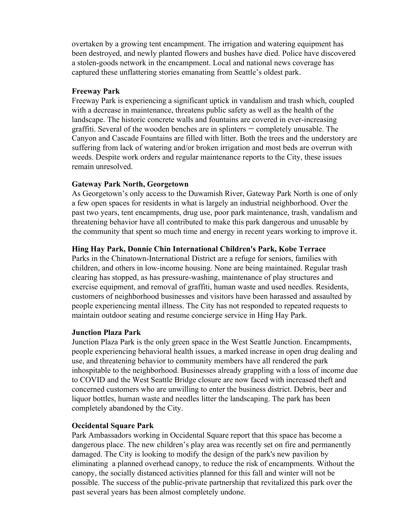overtaken by a growing tent encampment. The irrigation and watering equipment has been destroyed, and newly planted flowers and bushes have died. Police have discovered a stolen-goods network in the encampment. Local and national news coverage has captured these unflattering stories emanating from Seattle's oldest park.

#### **Freeway Park**

Freeway Park is experiencing a significant uptick in vandalism and trash which, coupled with a decrease in maintenance, threatens public safety as well as the health of the landscape. The historic concrete walls and fountains are covered in ever-increasing graffiti. Several of the wooden benches are in splinters — completely unusable. The Canyon and Cascade Fountains are filled with litter. Both the trees and the understory are suffering from lack of watering and/or broken irrigation and most beds are overrun with weeds. Despite work orders and regular maintenance reports to the City, these issues remain unresolved.

## **Gateway Park North, Georgetown**

As Georgetown's only access to the Duwamish River, Gateway Park North is one of only a few open spaces for residents in what is largely an industrial neighborhood. Over the past two years, tent encampments, drug use, poor park maintenance, trash, vandalism and threatening behavior have all contributed to make this park dangerous and unusable by the community that spent so much time and energy in recent years working to improve it.

# **Hing Hay Park, Donnie Chin International Children's Park, Kobe Terrace**

Parks in the Chinatown-International District are a refuge for seniors, families with children, and others in low-income housing. None are being maintained. Regular trash clearing has stopped, as has pressure-washing, maintenance of play structures and exercise equipment, and removal of graffiti, human waste and used needles. Residents, customers of neighborhood businesses and visitors have been harassed and assaulted by people experiencing mental illness. The City has not responded to repeated requests to maintain outdoor seating and resume concierge service in Hing Hay Park.

## **Junction Plaza Park**

Junction Plaza Park is the only green space in the West Seattle Junction. Encampments, people experiencing behavioral health issues, a marked increase in open drug dealing and use, and threatening behavior to community members have all rendered the park inhospitable to the neighborhood. Businesses already grappling with a loss of income due to COVID and the West Seattle Bridge closure are now faced with increased theft and concerned customers who are unwilling to enter the business district. Debris, beer and liquor bottles, human waste and needles litter the landscaping. The park has been completely abandoned by the City.

## **Occidental Square Park**

Park Ambassadors working in Occidental Square report that this space has become a dangerous place. The new children's play area was recently set on fire and permanently damaged. The City is looking to modify the design of the park's new pavilion by eliminating a planned overhead canopy, to reduce the risk of encampments. Without the canopy, the socially distanced activities planned for this fall and winter will not be possible. The success of the public-private partnership that revitalized this park over the past several years has been almost completely undone.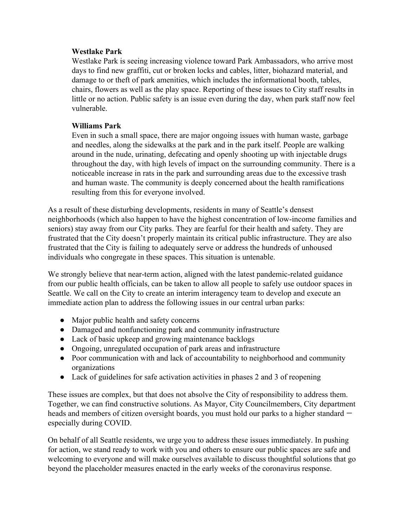#### **Westlake Park**

Westlake Park is seeing increasing violence toward Park Ambassadors, who arrive most days to find new graffiti, cut or broken locks and cables, litter, biohazard material, and damage to or theft of park amenities, which includes the informational booth, tables, chairs, flowers as well as the play space. Reporting of these issues to City staff results in little or no action. Public safety is an issue even during the day, when park staff now feel vulnerable.

### **Williams Park**

Even in such a small space, there are major ongoing issues with human waste, garbage and needles, along the sidewalks at the park and in the park itself. People are walking around in the nude, urinating, defecating and openly shooting up with injectable drugs throughout the day, with high levels of impact on the surrounding community. There is a noticeable increase in rats in the park and surrounding areas due to the excessive trash and human waste. The community is deeply concerned about the health ramifications resulting from this for everyone involved.

As a result of these disturbing developments, residents in many of Seattle's densest neighborhoods (which also happen to have the highest concentration of low-income families and seniors) stay away from our City parks. They are fearful for their health and safety. They are frustrated that the City doesn't properly maintain its critical public infrastructure. They are also frustrated that the City is failing to adequately serve or address the hundreds of unhoused individuals who congregate in these spaces. This situation is untenable.

We strongly believe that near-term action, aligned with the latest pandemic-related guidance from our public health officials, can be taken to allow all people to safely use outdoor spaces in Seattle. We call on the City to create an interim interagency team to develop and execute an immediate action plan to address the following issues in our central urban parks:

- Major public health and safety concerns
- Damaged and nonfunctioning park and community infrastructure
- Lack of basic upkeep and growing maintenance backlogs
- Ongoing, unregulated occupation of park areas and infrastructure
- Poor communication with and lack of accountability to neighborhood and community organizations
- Lack of guidelines for safe activation activities in phases 2 and 3 of reopening

These issues are complex, but that does not absolve the City of responsibility to address them. Together, we can find constructive solutions. As Mayor, City Councilmembers, City department heads and members of citizen oversight boards, you must hold our parks to a higher standard  $$ especially during COVID.

On behalf of all Seattle residents, we urge you to address these issues immediately. In pushing for action, we stand ready to work with you and others to ensure our public spaces are safe and welcoming to everyone and will make ourselves available to discuss thoughtful solutions that go beyond the placeholder measures enacted in the early weeks of the coronavirus response.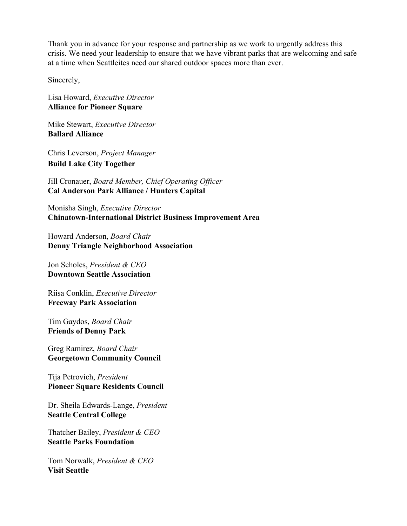Thank you in advance for your response and partnership as we work to urgently address this crisis. We need your leadership to ensure that we have vibrant parks that are welcoming and safe at a time when Seattleites need our shared outdoor spaces more than ever.

Sincerely,

Lisa Howard, *Executive Director* **Alliance for Pioneer Square**

Mike Stewart, *Executive Director* **Ballard Alliance**

Chris Leverson, *Project Manager* **Build Lake City Together**

Jill Cronauer, *Board Member, Chief Operating Officer* **Cal Anderson Park Alliance / Hunters Capital**

Monisha Singh, *Executive Director* **Chinatown-International District Business Improvement Area**

Howard Anderson, *Board Chair* **Denny Triangle Neighborhood Association**

Jon Scholes, *President & CEO* **Downtown Seattle Association**

Riisa Conklin, *Executive Director* **Freeway Park Association**

Tim Gaydos, *Board Chair* **Friends of Denny Park**

Greg Ramirez, *Board Chair* **Georgetown Community Council**

Tija Petrovich, *President* **Pioneer Square Residents Council**

Dr. Sheila Edwards-Lange, *President* **Seattle Central College**

Thatcher Bailey, *President & CEO* **Seattle Parks Foundation**

Tom Norwalk, *President & CEO* **Visit Seattle**